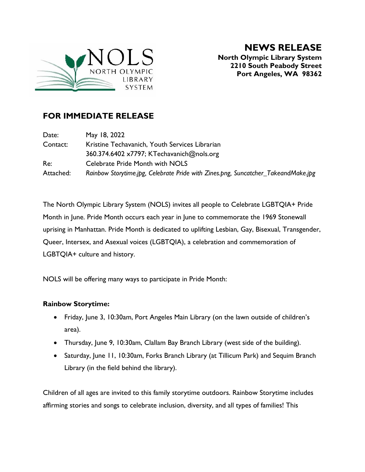

**NEWS RELEASE North Olympic Library System 2210 South Peabody Street Port Angeles, WA 98362**

## **FOR IMMEDIATE RELEASE**

| Date:     | May 18, 2022                                                                      |
|-----------|-----------------------------------------------------------------------------------|
| Contact:  | Kristine Techavanich, Youth Services Librarian                                    |
|           | 360.374.6402 x7797; KTechavanich@nols.org                                         |
| Re:       | Celebrate Pride Month with NOLS                                                   |
| Attached: | Rainbow Storytime.jpg, Celebrate Pride with Zines.png, Suncatcher_TakeandMake.jpg |

The North Olympic Library System (NOLS) invites all people to Celebrate LGBTQIA+ Pride Month in June. Pride Month occurs each year in June to commemorate the 1969 Stonewall uprising in Manhattan. Pride Month is dedicated to uplifting Lesbian, Gay, Bisexual, Transgender, Queer, Intersex, and Asexual voices (LGBTQIA), a celebration and commemoration of LGBTQIA+ culture and history.

NOLS will be offering many ways to participate in Pride Month:

## **Rainbow Storytime:**

- Friday, June 3, 10:30am, Port Angeles Main Library (on the lawn outside of children's area).
- Thursday, June 9, 10:30am, Clallam Bay Branch Library (west side of the building).
- Saturday, June 11, 10:30am, Forks Branch Library (at Tillicum Park) and Sequim Branch Library (in the field behind the library).

Children of all ages are invited to this family storytime outdoors. Rainbow Storytime includes affirming stories and songs to celebrate inclusion, diversity, and all types of families! This